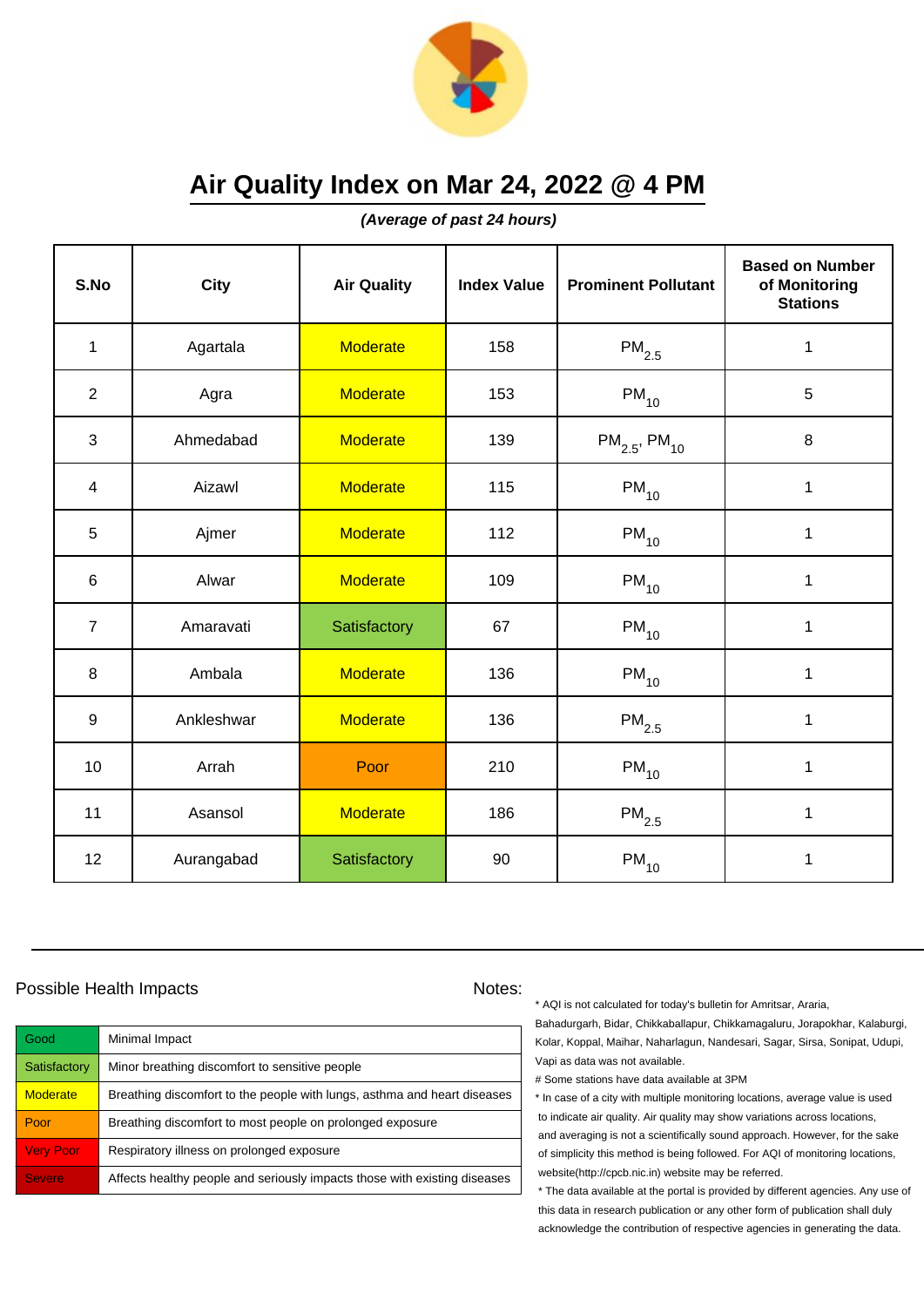

**(Average of past 24 hours)**

| S.No           | <b>City</b> | <b>Air Quality</b> | <b>Index Value</b> | <b>Prominent Pollutant</b>    | <b>Based on Number</b><br>of Monitoring<br><b>Stations</b> |
|----------------|-------------|--------------------|--------------------|-------------------------------|------------------------------------------------------------|
| $\mathbf{1}$   | Agartala    | <b>Moderate</b>    | 158                | $PM_{2.5}$                    | $\mathbf 1$                                                |
| $\overline{2}$ | Agra        | <b>Moderate</b>    | 153                | $PM_{10}$                     | 5                                                          |
| 3              | Ahmedabad   | <b>Moderate</b>    | 139                | $PM_{2.5}$ , PM <sub>10</sub> | 8                                                          |
| 4              | Aizawl      | <b>Moderate</b>    | 115                | $PM_{10}$                     | 1                                                          |
| 5              | Ajmer       | <b>Moderate</b>    | 112                | $PM_{10}$                     | $\mathbf 1$                                                |
| 6              | Alwar       | <b>Moderate</b>    | 109                | $PM_{10}$                     | 1                                                          |
| $\overline{7}$ | Amaravati   | Satisfactory       | 67                 | $PM_{10}$                     | $\mathbf{1}$                                               |
| 8              | Ambala      | <b>Moderate</b>    | 136                | $PM_{10}$                     | $\mathbf{1}$                                               |
| 9              | Ankleshwar  | <b>Moderate</b>    | 136                | $PM_{2.5}$                    | $\mathbf 1$                                                |
| 10             | Arrah       | Poor               | 210                | $PM_{10}$                     | 1                                                          |
| 11             | Asansol     | <b>Moderate</b>    | 186                | $PM_{2.5}$                    | 1                                                          |
| 12             | Aurangabad  | Satisfactory       | 90                 | $\mathsf{PM}_{10}$            | 1                                                          |

### Possible Health Impacts Notes:

| Good             | Minimal Impact                                                            |
|------------------|---------------------------------------------------------------------------|
| Satisfactory     | Minor breathing discomfort to sensitive people                            |
| <b>Moderate</b>  | Breathing discomfort to the people with lungs, asthma and heart diseases  |
| Poor             | Breathing discomfort to most people on prolonged exposure                 |
| <b>Very Poor</b> | Respiratory illness on prolonged exposure                                 |
| <b>Severe</b>    | Affects healthy people and seriously impacts those with existing diseases |

\* AQI is not calculated for today's bulletin for Amritsar, Araria,

Bahadurgarh, Bidar, Chikkaballapur, Chikkamagaluru, Jorapokhar, Kalaburgi, Kolar, Koppal, Maihar, Naharlagun, Nandesari, Sagar, Sirsa, Sonipat, Udupi, Vapi as data was not available.

# Some stations have data available at 3PM

\* In case of a city with multiple monitoring locations, average value is used to indicate air quality. Air quality may show variations across locations, and averaging is not a scientifically sound approach. However, for the sake of simplicity this method is being followed. For AQI of monitoring locations, website(http://cpcb.nic.in) website may be referred.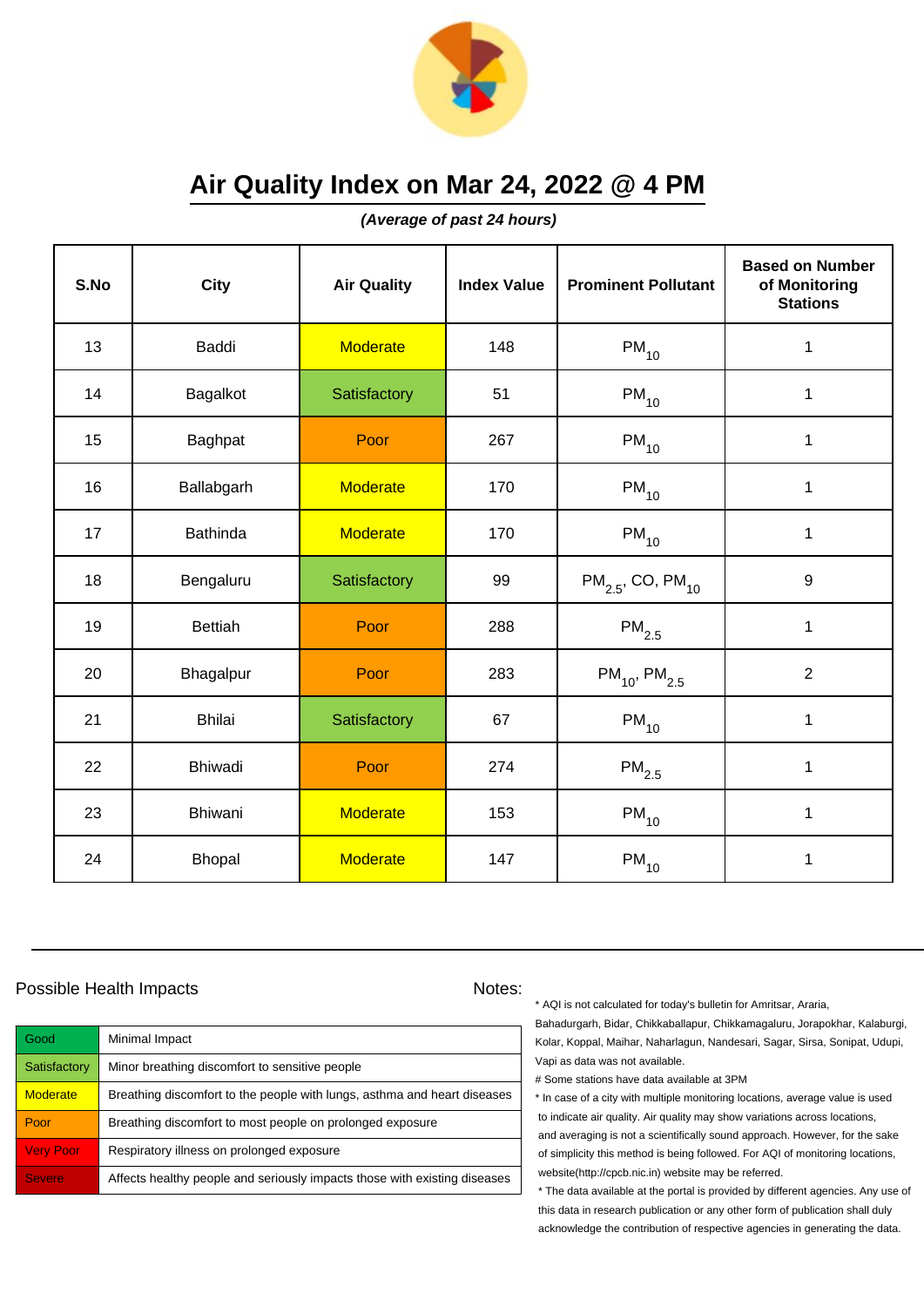

**(Average of past 24 hours)**

| S.No | <b>City</b>     | <b>Air Quality</b> | <b>Index Value</b> | <b>Prominent Pollutant</b>        | <b>Based on Number</b><br>of Monitoring<br><b>Stations</b> |
|------|-----------------|--------------------|--------------------|-----------------------------------|------------------------------------------------------------|
| 13   | Baddi           | <b>Moderate</b>    | 148                | $PM_{10}$                         | $\mathbf 1$                                                |
| 14   | Bagalkot        | Satisfactory       | 51                 | $PM_{10}$                         | 1                                                          |
| 15   | Baghpat         | Poor               | 267                | $PM_{10}$                         | 1                                                          |
| 16   | Ballabgarh      | <b>Moderate</b>    | 170                | $PM_{10}$                         | 1                                                          |
| 17   | <b>Bathinda</b> | <b>Moderate</b>    | 170                | $PM_{10}$                         | $\mathbf 1$                                                |
| 18   | Bengaluru       | Satisfactory       | 99                 | $PM_{2.5}$ , CO, PM <sub>10</sub> | 9                                                          |
| 19   | <b>Bettiah</b>  | Poor               | 288                | $\mathsf{PM}_{2.5}$               | $\mathbf{1}$                                               |
| 20   | Bhagalpur       | Poor               | 283                | $PM_{10}$ , PM <sub>2.5</sub>     | $\overline{2}$                                             |
| 21   | <b>Bhilai</b>   | Satisfactory       | 67                 | $PM_{10}$                         | $\mathbf 1$                                                |
| 22   | Bhiwadi         | Poor               | 274                | $PM_{2.5}$                        | 1                                                          |
| 23   | Bhiwani         | <b>Moderate</b>    | 153                | $PM_{10}$                         | 1                                                          |
| 24   | <b>Bhopal</b>   | <b>Moderate</b>    | 147                | $\mathsf{PM}_{10}$                | 1                                                          |

### Possible Health Impacts Notes:

| <b>Good</b>      | Minimal Impact                                                            |
|------------------|---------------------------------------------------------------------------|
| Satisfactory     | Minor breathing discomfort to sensitive people                            |
| <b>Moderate</b>  | Breathing discomfort to the people with lungs, asthma and heart diseases  |
| Poor             | Breathing discomfort to most people on prolonged exposure                 |
| <b>Very Poor</b> | Respiratory illness on prolonged exposure                                 |
| <b>Severe</b>    | Affects healthy people and seriously impacts those with existing diseases |

\* AQI is not calculated for today's bulletin for Amritsar, Araria,

Bahadurgarh, Bidar, Chikkaballapur, Chikkamagaluru, Jorapokhar, Kalaburgi, Kolar, Koppal, Maihar, Naharlagun, Nandesari, Sagar, Sirsa, Sonipat, Udupi, Vapi as data was not available.

# Some stations have data available at 3PM

\* In case of a city with multiple monitoring locations, average value is used to indicate air quality. Air quality may show variations across locations, and averaging is not a scientifically sound approach. However, for the sake of simplicity this method is being followed. For AQI of monitoring locations, website(http://cpcb.nic.in) website may be referred.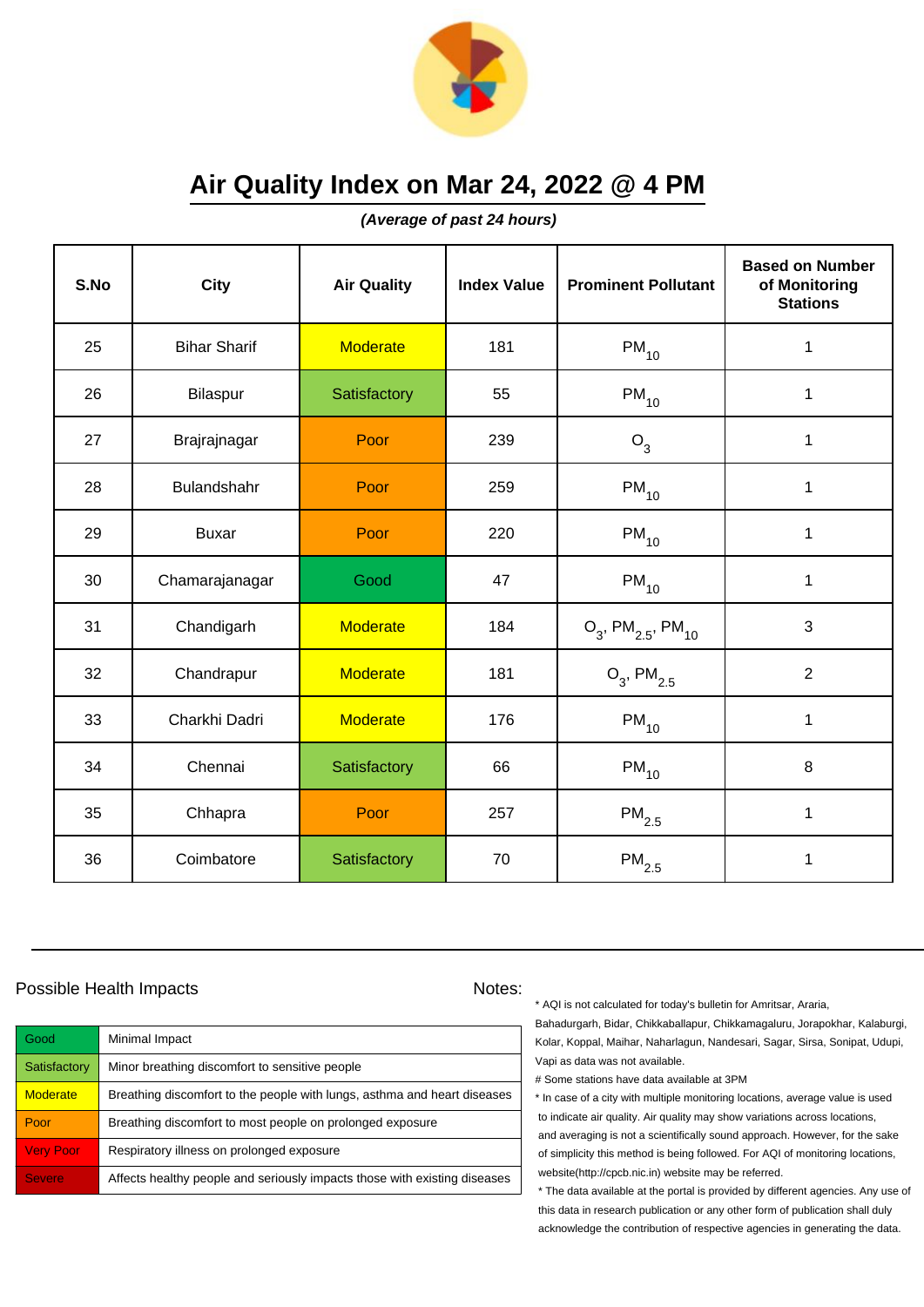

**(Average of past 24 hours)**

| S.No | <b>City</b>         | <b>Air Quality</b> | <b>Index Value</b> | <b>Prominent Pollutant</b>                   | <b>Based on Number</b><br>of Monitoring<br><b>Stations</b> |
|------|---------------------|--------------------|--------------------|----------------------------------------------|------------------------------------------------------------|
| 25   | <b>Bihar Sharif</b> | <b>Moderate</b>    | 181                | $PM_{10}$                                    | 1                                                          |
| 26   | Bilaspur            | Satisfactory       | 55                 | $PM_{10}$                                    | $\mathbf 1$                                                |
| 27   | Brajrajnagar        | Poor               | 239                | $O_3$                                        | 1                                                          |
| 28   | Bulandshahr         | Poor               | 259                | $PM_{10}$                                    | 1                                                          |
| 29   | <b>Buxar</b>        | Poor               | 220                | $PM_{10}$                                    | 1                                                          |
| 30   | Chamarajanagar      | Good               | 47                 | $PM_{10}$                                    | 1                                                          |
| 31   | Chandigarh          | <b>Moderate</b>    | 184                | $O_3$ , PM <sub>2.5</sub> , PM <sub>10</sub> | 3                                                          |
| 32   | Chandrapur          | <b>Moderate</b>    | 181                | $O_3$ , PM <sub>2.5</sub>                    | $\overline{2}$                                             |
| 33   | Charkhi Dadri       | <b>Moderate</b>    | 176                | $PM_{10}$                                    | $\mathbf 1$                                                |
| 34   | Chennai             | Satisfactory       | 66                 | $\mathsf{PM}_{10}$                           | 8                                                          |
| 35   | Chhapra             | Poor               | 257                | $\mathsf{PM}_{2.5}$                          | 1                                                          |
| 36   | Coimbatore          | Satisfactory       | 70                 | $\mathsf{PM}_{2.5}$                          | 1                                                          |

### Possible Health Impacts Notes:

| Good             | Minimal Impact                                                            |
|------------------|---------------------------------------------------------------------------|
| Satisfactory     | Minor breathing discomfort to sensitive people                            |
| <b>Moderate</b>  | Breathing discomfort to the people with lungs, asthma and heart diseases  |
| Poor             | Breathing discomfort to most people on prolonged exposure                 |
| <b>Very Poor</b> | Respiratory illness on prolonged exposure                                 |
| <b>Severe</b>    | Affects healthy people and seriously impacts those with existing diseases |

\* AQI is not calculated for today's bulletin for Amritsar, Araria,

Bahadurgarh, Bidar, Chikkaballapur, Chikkamagaluru, Jorapokhar, Kalaburgi, Kolar, Koppal, Maihar, Naharlagun, Nandesari, Sagar, Sirsa, Sonipat, Udupi, Vapi as data was not available.

# Some stations have data available at 3PM

\* In case of a city with multiple monitoring locations, average value is used to indicate air quality. Air quality may show variations across locations, and averaging is not a scientifically sound approach. However, for the sake of simplicity this method is being followed. For AQI of monitoring locations, website(http://cpcb.nic.in) website may be referred.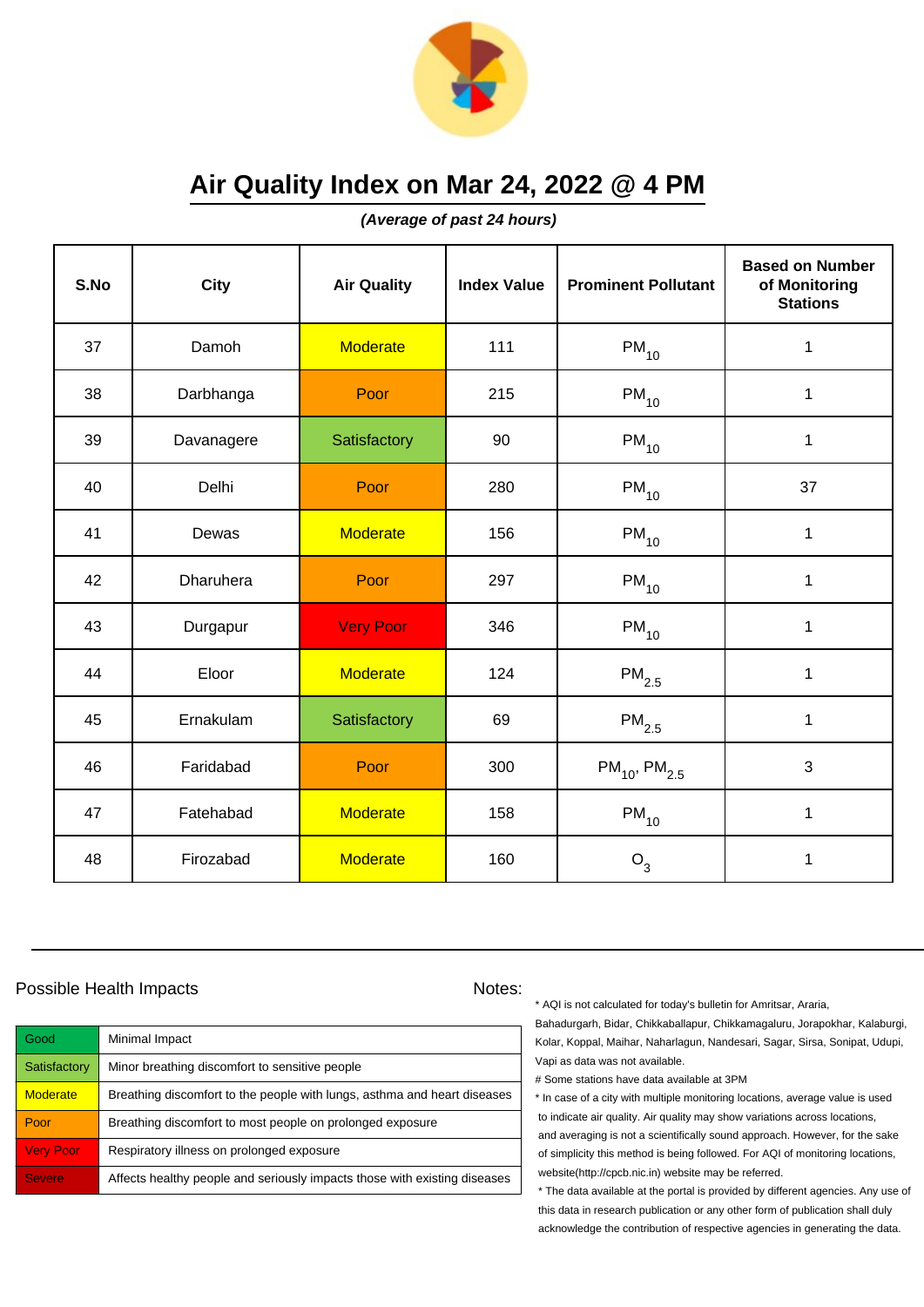

**(Average of past 24 hours)**

| S.No | <b>City</b> | <b>Air Quality</b> | <b>Index Value</b> | <b>Prominent Pollutant</b> | <b>Based on Number</b><br>of Monitoring<br><b>Stations</b> |
|------|-------------|--------------------|--------------------|----------------------------|------------------------------------------------------------|
| 37   | Damoh       | <b>Moderate</b>    | 111                | $PM_{10}$                  | $\mathbf 1$                                                |
| 38   | Darbhanga   | Poor               | 215                | $PM_{10}$                  | $\mathbf 1$                                                |
| 39   | Davanagere  | Satisfactory       | 90                 | $PM_{10}$                  | 1                                                          |
| 40   | Delhi       | Poor               | 280                | $PM_{10}$                  | 37                                                         |
| 41   | Dewas       | <b>Moderate</b>    | 156                | $PM_{10}$                  | $\mathbf 1$                                                |
| 42   | Dharuhera   | Poor               | 297                | $\mathsf{PM}_{10}$         | $\mathbf 1$                                                |
| 43   | Durgapur    | <b>Very Poor</b>   | 346                | $PM_{10}$                  | 1                                                          |
| 44   | Eloor       | <b>Moderate</b>    | 124                | $PM_{2.5}$                 | 1                                                          |
| 45   | Ernakulam   | Satisfactory       | 69                 | $PM_{2.5}$                 | $\mathbf 1$                                                |
| 46   | Faridabad   | Poor               | 300                | $PM_{10}$ , $PM_{2.5}$     | 3                                                          |
| 47   | Fatehabad   | <b>Moderate</b>    | 158                | $PM_{10}$                  | $\mathbf{1}$                                               |
| 48   | Firozabad   | <b>Moderate</b>    | 160                | $O_3$                      | 1                                                          |

### Possible Health Impacts Notes:

| Good             | Minimal Impact                                                            |
|------------------|---------------------------------------------------------------------------|
| Satisfactory     | Minor breathing discomfort to sensitive people                            |
| <b>Moderate</b>  | Breathing discomfort to the people with lungs, asthma and heart diseases  |
| Poor             | Breathing discomfort to most people on prolonged exposure                 |
| <b>Very Poor</b> | Respiratory illness on prolonged exposure                                 |
| <b>Severe</b>    | Affects healthy people and seriously impacts those with existing diseases |

\* AQI is not calculated for today's bulletin for Amritsar, Araria,

Bahadurgarh, Bidar, Chikkaballapur, Chikkamagaluru, Jorapokhar, Kalaburgi, Kolar, Koppal, Maihar, Naharlagun, Nandesari, Sagar, Sirsa, Sonipat, Udupi, Vapi as data was not available.

# Some stations have data available at 3PM

\* In case of a city with multiple monitoring locations, average value is used to indicate air quality. Air quality may show variations across locations, and averaging is not a scientifically sound approach. However, for the sake of simplicity this method is being followed. For AQI of monitoring locations, website(http://cpcb.nic.in) website may be referred.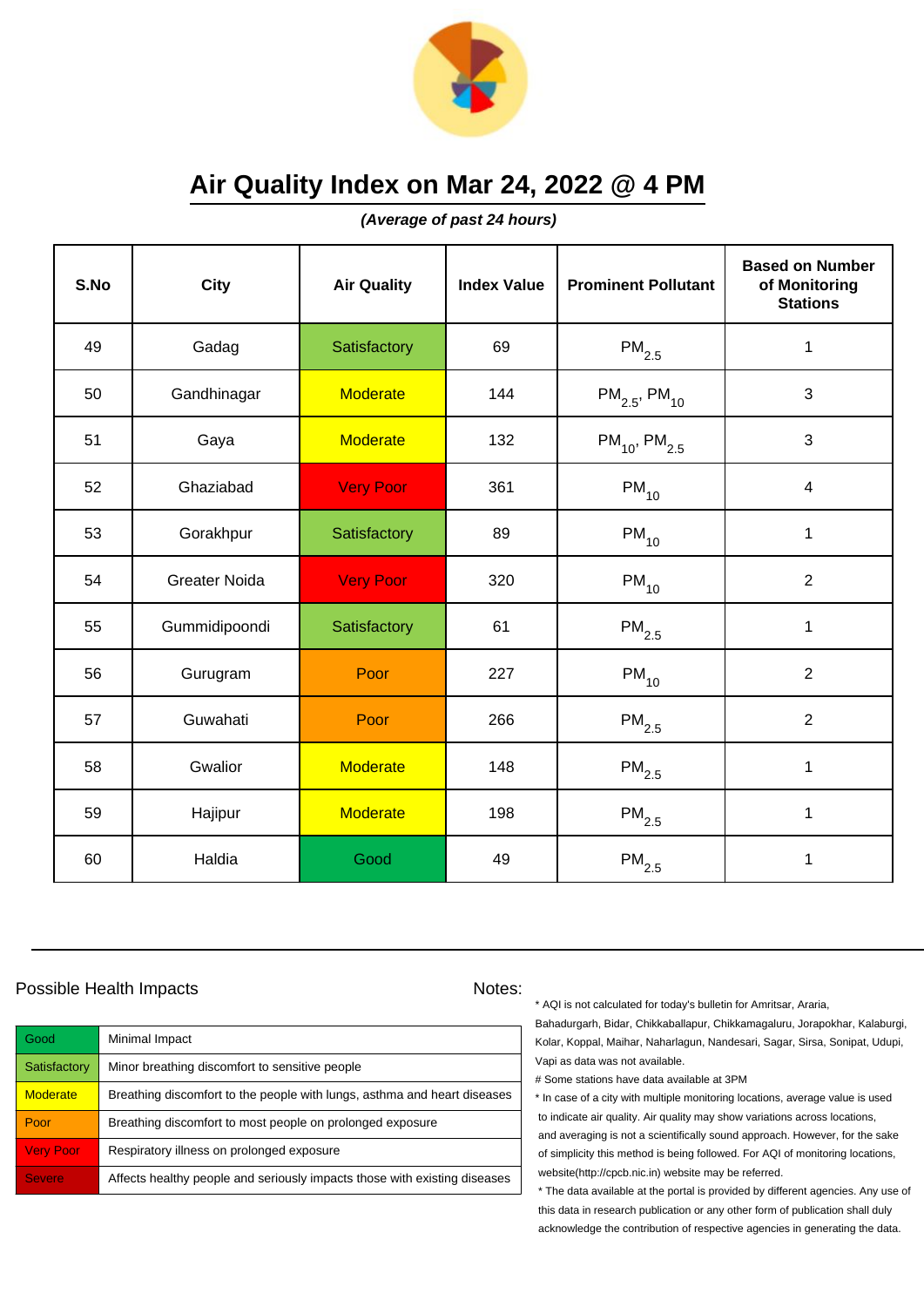

**(Average of past 24 hours)**

| S.No | <b>City</b>          | <b>Air Quality</b> | <b>Index Value</b> | <b>Prominent Pollutant</b>    | <b>Based on Number</b><br>of Monitoring<br><b>Stations</b> |
|------|----------------------|--------------------|--------------------|-------------------------------|------------------------------------------------------------|
| 49   | Gadag                | Satisfactory       | 69                 | $PM_{2.5}$                    | $\mathbf 1$                                                |
| 50   | Gandhinagar          | <b>Moderate</b>    | 144                | $PM_{2.5}$ , PM <sub>10</sub> | 3                                                          |
| 51   | Gaya                 | <b>Moderate</b>    | 132                | $PM_{10}$ , PM <sub>2.5</sub> | $\mathbf{3}$                                               |
| 52   | Ghaziabad            | <b>Very Poor</b>   | 361                | $PM_{10}$                     | $\overline{\mathbf{4}}$                                    |
| 53   | Gorakhpur            | Satisfactory       | 89                 | $PM_{10}$                     | $\mathbf 1$                                                |
| 54   | <b>Greater Noida</b> | <b>Very Poor</b>   | 320                | $\mathsf{PM}_{10}$            | $\overline{2}$                                             |
| 55   | Gummidipoondi        | Satisfactory       | 61                 | $\mathsf{PM}_{2.5}$           | $\mathbf{1}$                                               |
| 56   | Gurugram             | Poor               | 227                | $PM_{10}$                     | $\overline{2}$                                             |
| 57   | Guwahati             | Poor               | 266                | $PM_{2.5}$                    | $\overline{2}$                                             |
| 58   | Gwalior              | <b>Moderate</b>    | 148                | $PM_{2.5}$                    | 1                                                          |
| 59   | Hajipur              | <b>Moderate</b>    | 198                | $PM_{2.5}$                    | 1                                                          |
| 60   | Haldia               | Good               | 49                 | $\mathsf{PM}_{2.5}$           | 1                                                          |

### Possible Health Impacts Notes:

| Good             | Minimal Impact                                                            |
|------------------|---------------------------------------------------------------------------|
| Satisfactory     | Minor breathing discomfort to sensitive people                            |
| <b>Moderate</b>  | Breathing discomfort to the people with lungs, asthma and heart diseases  |
| Poor             | Breathing discomfort to most people on prolonged exposure                 |
| <b>Very Poor</b> | Respiratory illness on prolonged exposure                                 |
| <b>Severe</b>    | Affects healthy people and seriously impacts those with existing diseases |

\* AQI is not calculated for today's bulletin for Amritsar, Araria,

Bahadurgarh, Bidar, Chikkaballapur, Chikkamagaluru, Jorapokhar, Kalaburgi, Kolar, Koppal, Maihar, Naharlagun, Nandesari, Sagar, Sirsa, Sonipat, Udupi, Vapi as data was not available.

# Some stations have data available at 3PM

\* In case of a city with multiple monitoring locations, average value is used to indicate air quality. Air quality may show variations across locations, and averaging is not a scientifically sound approach. However, for the sake of simplicity this method is being followed. For AQI of monitoring locations, website(http://cpcb.nic.in) website may be referred.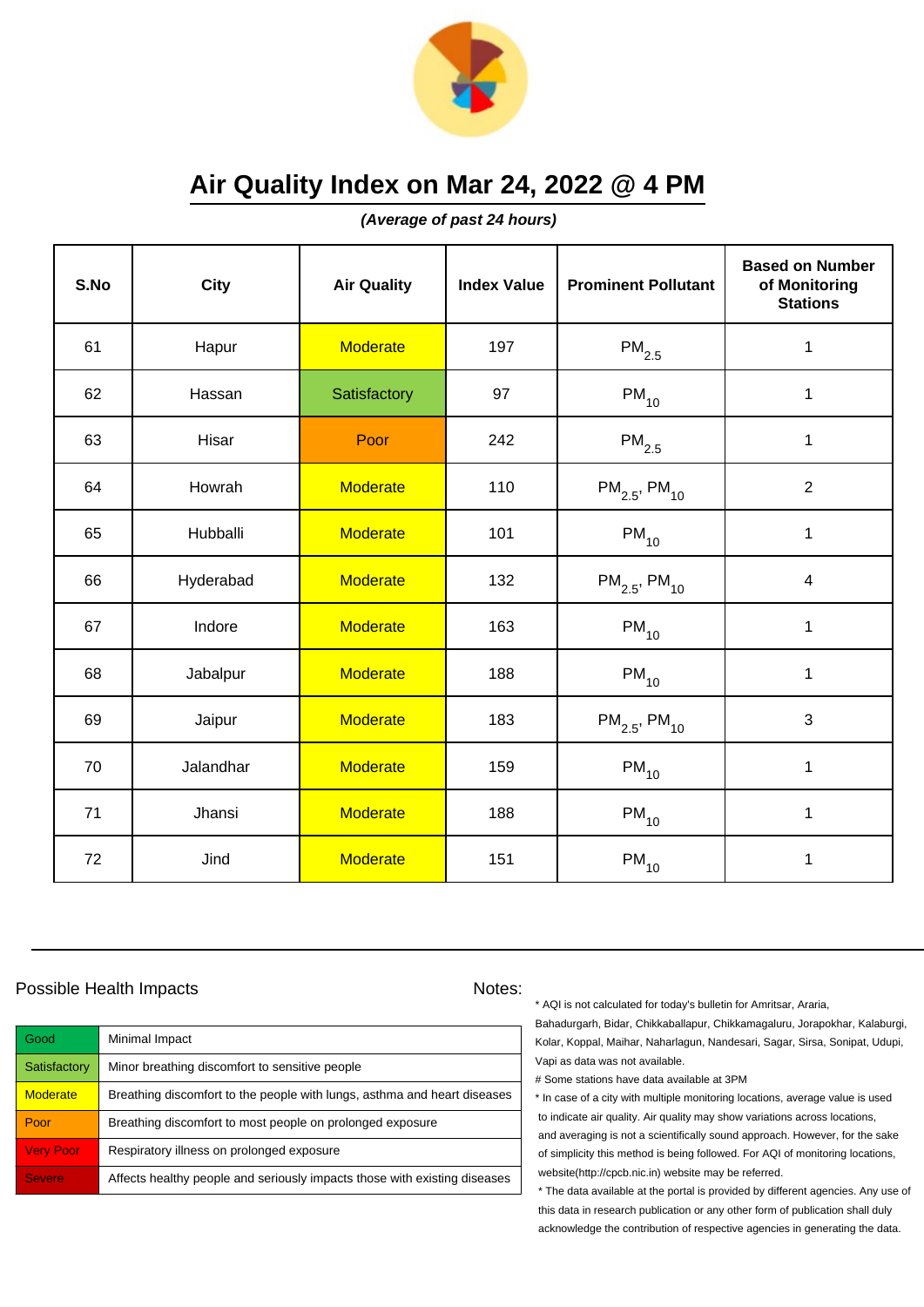

**(Average of past 24 hours)**

| S.No | <b>City</b> | <b>Air Quality</b> | <b>Index Value</b> | <b>Prominent Pollutant</b>    | <b>Based on Number</b><br>of Monitoring<br><b>Stations</b> |
|------|-------------|--------------------|--------------------|-------------------------------|------------------------------------------------------------|
| 61   | Hapur       | <b>Moderate</b>    | 197                | $PM_{2.5}$                    | $\mathbf 1$                                                |
| 62   | Hassan      | Satisfactory       | 97                 | $PM_{10}$                     | 1                                                          |
| 63   | Hisar       | Poor               | 242                | $\mathsf{PM}_{2.5}$           | 1                                                          |
| 64   | Howrah      | <b>Moderate</b>    | 110                | $PM_{2.5}$ , PM <sub>10</sub> | $\overline{2}$                                             |
| 65   | Hubballi    | <b>Moderate</b>    | 101                | $\mathsf{PM}_{10}$            | $\mathbf 1$                                                |
| 66   | Hyderabad   | <b>Moderate</b>    | 132                | $PM_{2.5}$ , PM <sub>10</sub> | $\overline{4}$                                             |
| 67   | Indore      | <b>Moderate</b>    | 163                | $PM_{10}$                     | $\mathbf{1}$                                               |
| 68   | Jabalpur    | <b>Moderate</b>    | 188                | $PM_{10}$                     | 1                                                          |
| 69   | Jaipur      | <b>Moderate</b>    | 183                | $PM_{2.5}$ , PM <sub>10</sub> | 3                                                          |
| 70   | Jalandhar   | <b>Moderate</b>    | 159                | $\mathsf{PM}_{10}$            | 1                                                          |
| 71   | Jhansi      | <b>Moderate</b>    | 188                | $PM_{10}$                     | 1                                                          |
| 72   | Jind        | <b>Moderate</b>    | 151                | $\mathsf{PM}_{10}$            | 1                                                          |

### Possible Health Impacts Notes:

| <b>Good</b>      | Minimal Impact                                                            |
|------------------|---------------------------------------------------------------------------|
| Satisfactory     | Minor breathing discomfort to sensitive people                            |
| <b>Moderate</b>  | Breathing discomfort to the people with lungs, asthma and heart diseases  |
| Poor             | Breathing discomfort to most people on prolonged exposure                 |
| <b>Very Poor</b> | Respiratory illness on prolonged exposure                                 |
| <b>Severe</b>    | Affects healthy people and seriously impacts those with existing diseases |

\* AQI is not calculated for today's bulletin for Amritsar, Araria,

Bahadurgarh, Bidar, Chikkaballapur, Chikkamagaluru, Jorapokhar, Kalaburgi, Kolar, Koppal, Maihar, Naharlagun, Nandesari, Sagar, Sirsa, Sonipat, Udupi, Vapi as data was not available.

# Some stations have data available at 3PM

\* In case of a city with multiple monitoring locations, average value is used to indicate air quality. Air quality may show variations across locations, and averaging is not a scientifically sound approach. However, for the sake of simplicity this method is being followed. For AQI of monitoring locations, website(http://cpcb.nic.in) website may be referred.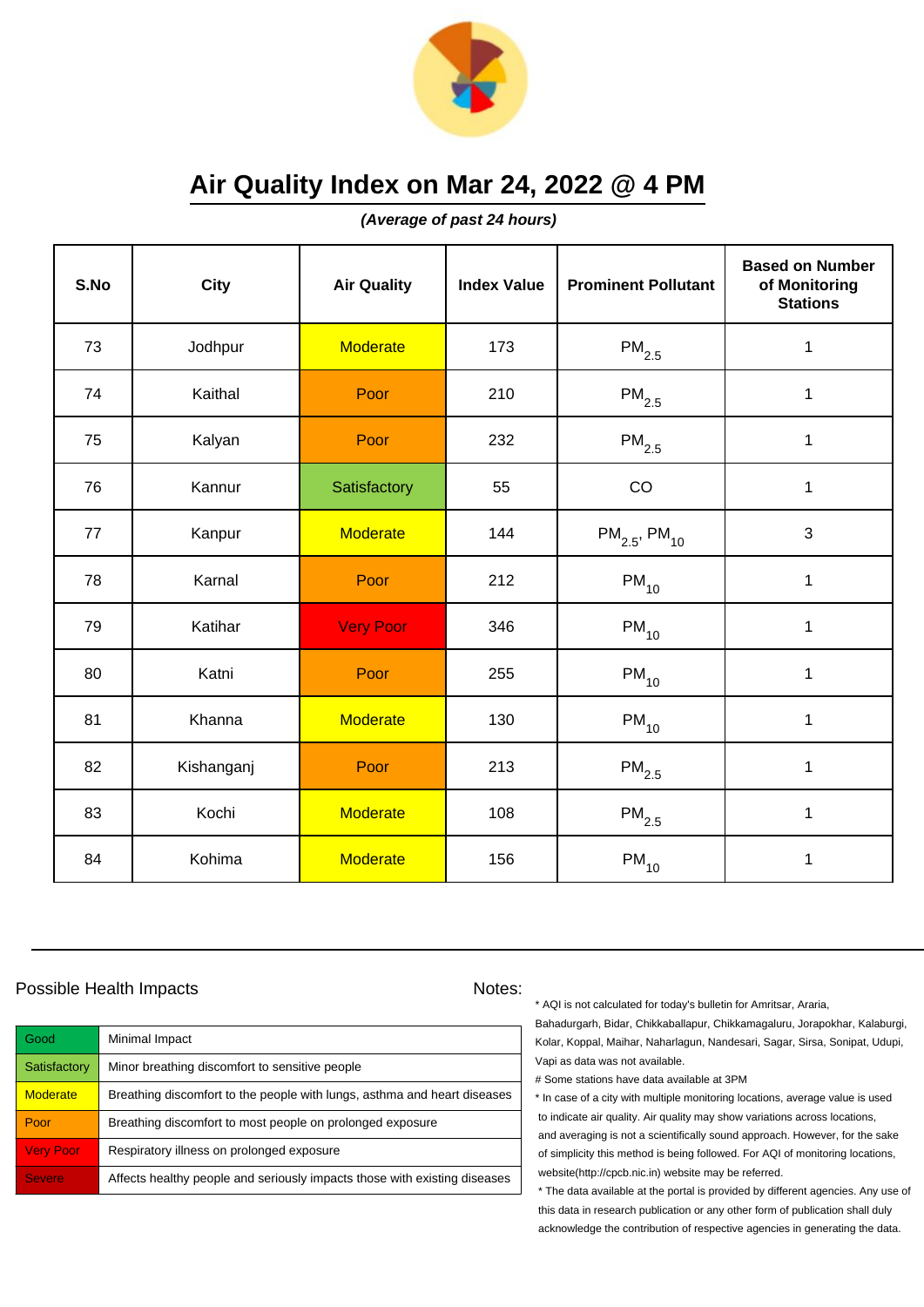

**(Average of past 24 hours)**

| S.No | <b>City</b> | <b>Air Quality</b> | <b>Index Value</b> | <b>Prominent Pollutant</b>    | <b>Based on Number</b><br>of Monitoring<br><b>Stations</b> |
|------|-------------|--------------------|--------------------|-------------------------------|------------------------------------------------------------|
| 73   | Jodhpur     | <b>Moderate</b>    | 173                | $\mathsf{PM}_{2.5}$           | 1                                                          |
| 74   | Kaithal     | Poor               | 210                | $PM_{2.5}$                    | $\mathbf 1$                                                |
| 75   | Kalyan      | Poor               | 232                | $\mathsf{PM}_{2.5}$           | 1                                                          |
| 76   | Kannur      | Satisfactory       | 55                 | CO                            | $\mathbf 1$                                                |
| 77   | Kanpur      | <b>Moderate</b>    | 144                | $PM_{2.5}$ , PM <sub>10</sub> | 3                                                          |
| 78   | Karnal      | Poor               | 212                | $PM_{10}$                     | $\mathbf 1$                                                |
| 79   | Katihar     | <b>Very Poor</b>   | 346                | $PM_{10}$                     | $\mathbf{1}$                                               |
| 80   | Katni       | Poor               | 255                | $PM_{10}$                     | $\mathbf{1}$                                               |
| 81   | Khanna      | <b>Moderate</b>    | 130                | $PM_{10}$                     | $\mathbf{1}$                                               |
| 82   | Kishanganj  | Poor               | 213                | $PM_{2.5}$                    | $\mathbf 1$                                                |
| 83   | Kochi       | <b>Moderate</b>    | 108                | $PM_{2.5}$                    | 1                                                          |
| 84   | Kohima      | <b>Moderate</b>    | 156                | $PM_{10}$                     | $\mathbf 1$                                                |

### Possible Health Impacts Notes:

| Good             | Minimal Impact                                                            |
|------------------|---------------------------------------------------------------------------|
| Satisfactory     | Minor breathing discomfort to sensitive people                            |
| <b>Moderate</b>  | Breathing discomfort to the people with lungs, asthma and heart diseases  |
| Poor             | Breathing discomfort to most people on prolonged exposure                 |
| <b>Very Poor</b> | Respiratory illness on prolonged exposure                                 |
| <b>Severe</b>    | Affects healthy people and seriously impacts those with existing diseases |

\* AQI is not calculated for today's bulletin for Amritsar, Araria,

Bahadurgarh, Bidar, Chikkaballapur, Chikkamagaluru, Jorapokhar, Kalaburgi, Kolar, Koppal, Maihar, Naharlagun, Nandesari, Sagar, Sirsa, Sonipat, Udupi, Vapi as data was not available.

# Some stations have data available at 3PM

\* In case of a city with multiple monitoring locations, average value is used to indicate air quality. Air quality may show variations across locations, and averaging is not a scientifically sound approach. However, for the sake of simplicity this method is being followed. For AQI of monitoring locations, website(http://cpcb.nic.in) website may be referred.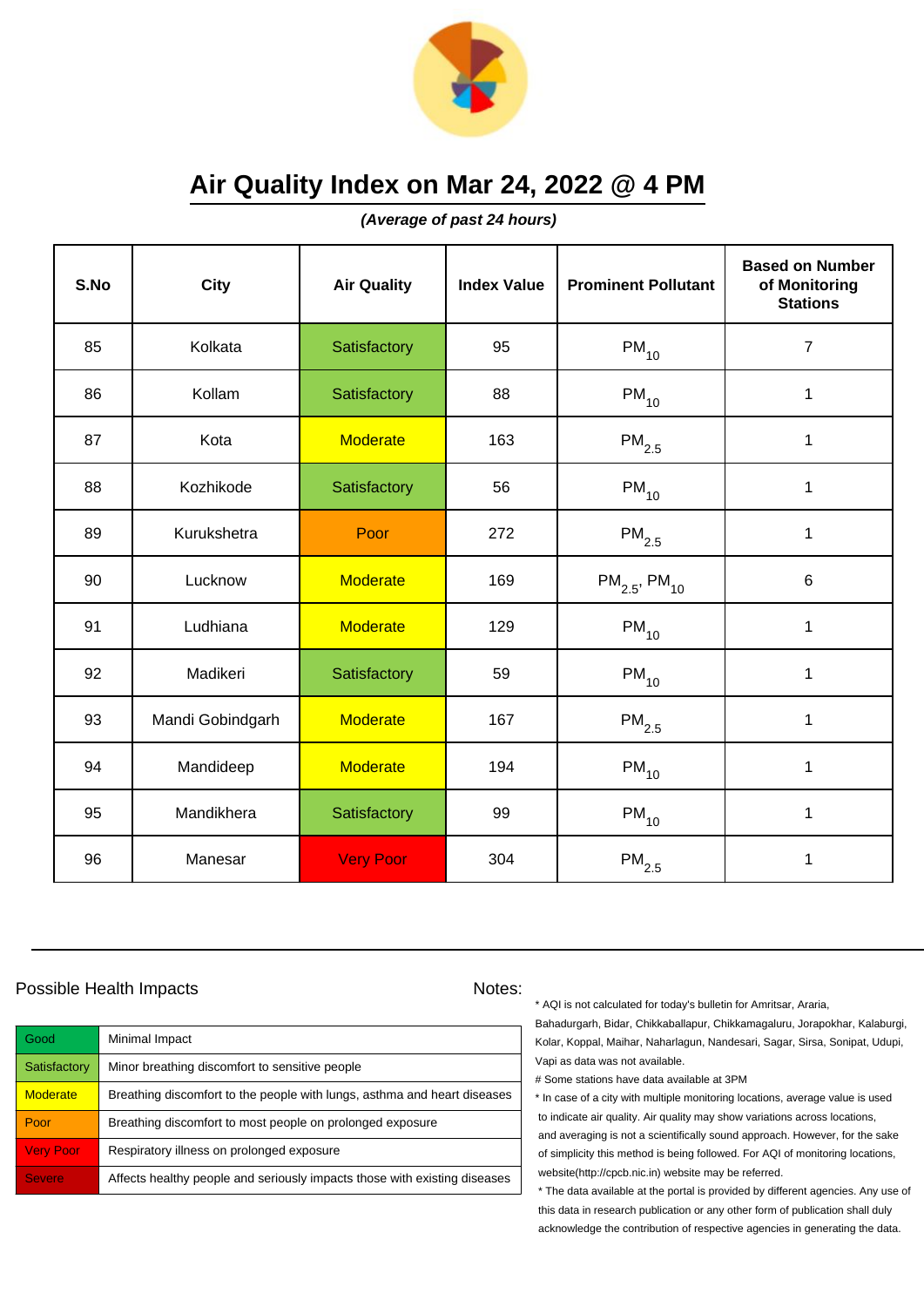

**(Average of past 24 hours)**

| S.No | City             | <b>Air Quality</b> | <b>Index Value</b> | <b>Prominent Pollutant</b>    | <b>Based on Number</b><br>of Monitoring<br><b>Stations</b> |
|------|------------------|--------------------|--------------------|-------------------------------|------------------------------------------------------------|
| 85   | Kolkata          | Satisfactory       | 95                 | $\mathsf{PM}_{10}$            | $\overline{7}$                                             |
| 86   | Kollam           | Satisfactory       | 88                 | $\mathsf{PM}_{10}$            | 1                                                          |
| 87   | Kota             | <b>Moderate</b>    | 163                | $\mathsf{PM}_{2.5}$           | 1                                                          |
| 88   | Kozhikode        | Satisfactory       | 56                 | $PM_{10}$                     | 1                                                          |
| 89   | Kurukshetra      | Poor               | 272                | $PM_{2.5}$                    | $\mathbf 1$                                                |
| 90   | Lucknow          | <b>Moderate</b>    | 169                | $PM_{2.5}$ , PM <sub>10</sub> | 6                                                          |
| 91   | Ludhiana         | <b>Moderate</b>    | 129                | $\mathsf{PM}_{10}$            | 1                                                          |
| 92   | Madikeri         | Satisfactory       | 59                 | $PM_{10}$                     | 1                                                          |
| 93   | Mandi Gobindgarh | <b>Moderate</b>    | 167                | $PM_{2.5}$                    | $\mathbf{1}$                                               |
| 94   | Mandideep        | <b>Moderate</b>    | 194                | $PM_{10}$                     | 1                                                          |
| 95   | Mandikhera       | Satisfactory       | 99                 | $PM_{10}$                     | 1                                                          |
| 96   | Manesar          | <b>Very Poor</b>   | 304                | $\mathsf{PM}_{2.5}$           | 1                                                          |

### Possible Health Impacts Notes:

| Good             | Minimal Impact                                                            |
|------------------|---------------------------------------------------------------------------|
| Satisfactory     | Minor breathing discomfort to sensitive people                            |
| <b>Moderate</b>  | Breathing discomfort to the people with lungs, asthma and heart diseases  |
| Poor             | Breathing discomfort to most people on prolonged exposure                 |
| <b>Very Poor</b> | Respiratory illness on prolonged exposure                                 |
| <b>Severe</b>    | Affects healthy people and seriously impacts those with existing diseases |

\* AQI is not calculated for today's bulletin for Amritsar, Araria,

Bahadurgarh, Bidar, Chikkaballapur, Chikkamagaluru, Jorapokhar, Kalaburgi, Kolar, Koppal, Maihar, Naharlagun, Nandesari, Sagar, Sirsa, Sonipat, Udupi, Vapi as data was not available.

# Some stations have data available at 3PM

\* In case of a city with multiple monitoring locations, average value is used to indicate air quality. Air quality may show variations across locations, and averaging is not a scientifically sound approach. However, for the sake of simplicity this method is being followed. For AQI of monitoring locations, website(http://cpcb.nic.in) website may be referred.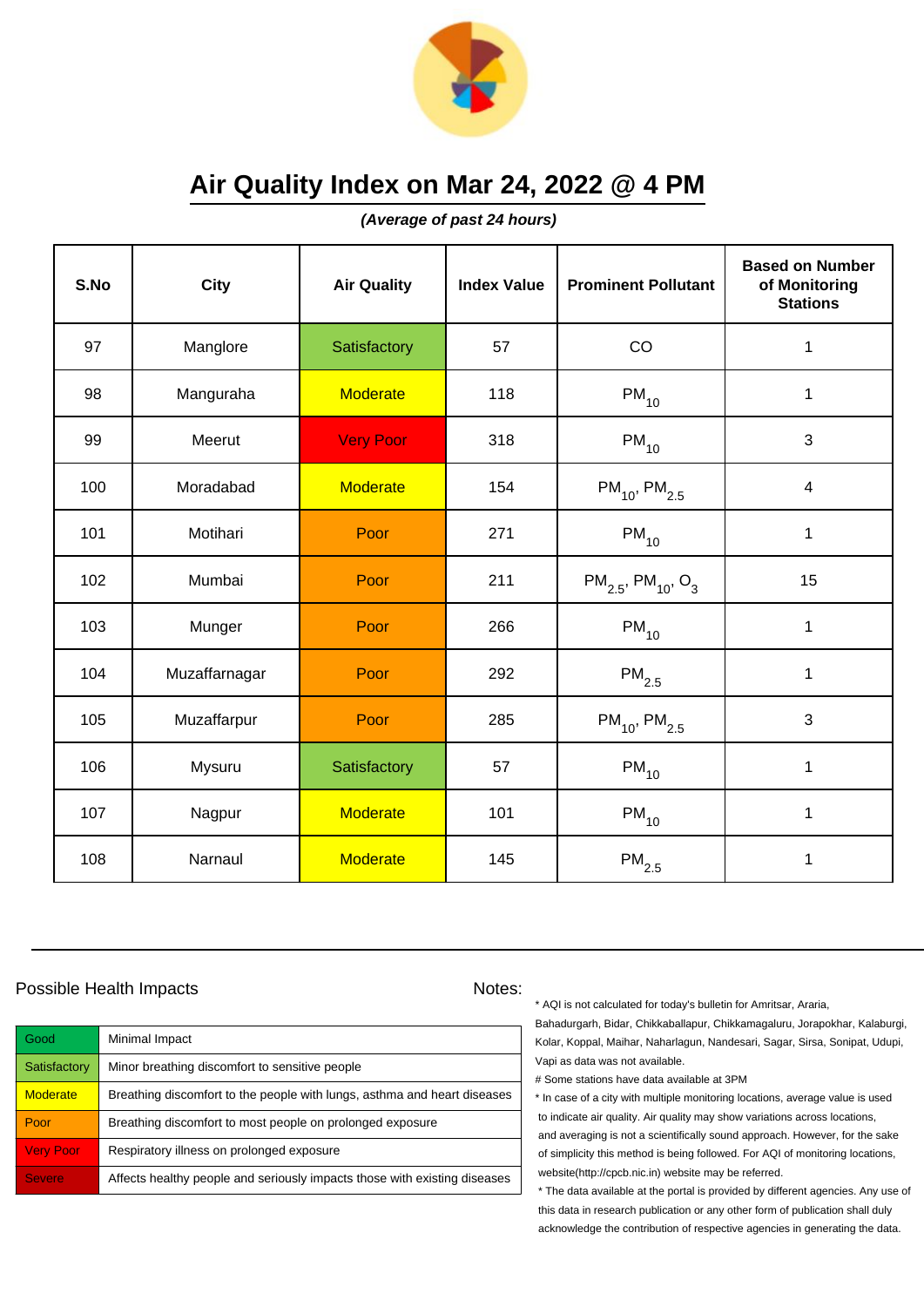

**(Average of past 24 hours)**

| S.No | City          | <b>Air Quality</b> | <b>Index Value</b> | <b>Prominent Pollutant</b>                     | <b>Based on Number</b><br>of Monitoring<br><b>Stations</b> |
|------|---------------|--------------------|--------------------|------------------------------------------------|------------------------------------------------------------|
| 97   | Manglore      | Satisfactory       | 57                 | CO                                             | 1                                                          |
| 98   | Manguraha     | <b>Moderate</b>    | 118                | $PM_{10}$                                      | 1                                                          |
| 99   | Meerut        | <b>Very Poor</b>   | 318                | $PM_{10}$                                      | $\mathbf{3}$                                               |
| 100  | Moradabad     | <b>Moderate</b>    | 154                | $PM_{10}$ , PM <sub>2.5</sub>                  | $\overline{\mathbf{4}}$                                    |
| 101  | Motihari      | Poor               | 271                | $PM_{10}$                                      | $\mathbf 1$                                                |
| 102  | Mumbai        | Poor               | 211                | $PM_{2.5}$ , PM <sub>10</sub> , O <sub>3</sub> | 15                                                         |
| 103  | Munger        | Poor               | 266                | $\mathsf{PM}_{10}$                             | $\mathbf{1}$                                               |
| 104  | Muzaffarnagar | Poor               | 292                | $PM_{2.5}$                                     | 1                                                          |
| 105  | Muzaffarpur   | Poor               | 285                | $PM_{10}$ , PM <sub>2.5</sub>                  | 3                                                          |
| 106  | Mysuru        | Satisfactory       | 57                 | $PM_{10}$                                      | 1                                                          |
| 107  | Nagpur        | <b>Moderate</b>    | 101                | $PM_{10}$                                      | 1                                                          |
| 108  | Narnaul       | <b>Moderate</b>    | 145                | $\mathsf{PM}_{2.5}$                            | 1                                                          |

### Possible Health Impacts Notes:

| Good             | Minimal Impact                                                            |
|------------------|---------------------------------------------------------------------------|
| Satisfactory     | Minor breathing discomfort to sensitive people                            |
| <b>Moderate</b>  | Breathing discomfort to the people with lungs, asthma and heart diseases  |
| Poor             | Breathing discomfort to most people on prolonged exposure                 |
| <b>Very Poor</b> | Respiratory illness on prolonged exposure                                 |
| <b>Severe</b>    | Affects healthy people and seriously impacts those with existing diseases |

\* AQI is not calculated for today's bulletin for Amritsar, Araria,

Bahadurgarh, Bidar, Chikkaballapur, Chikkamagaluru, Jorapokhar, Kalaburgi, Kolar, Koppal, Maihar, Naharlagun, Nandesari, Sagar, Sirsa, Sonipat, Udupi, Vapi as data was not available.

# Some stations have data available at 3PM

\* In case of a city with multiple monitoring locations, average value is used to indicate air quality. Air quality may show variations across locations, and averaging is not a scientifically sound approach. However, for the sake of simplicity this method is being followed. For AQI of monitoring locations, website(http://cpcb.nic.in) website may be referred.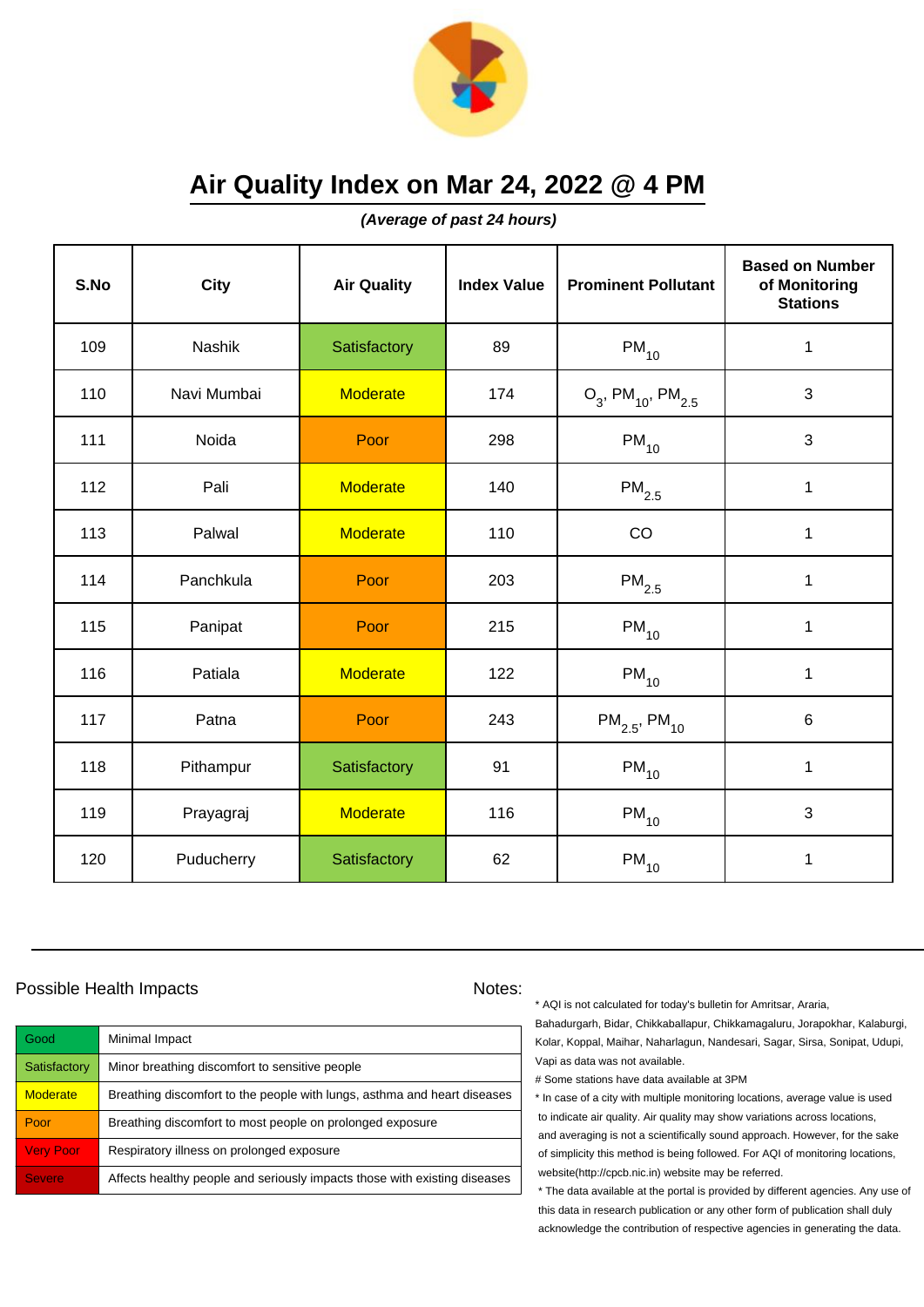

**(Average of past 24 hours)**

| S.No | <b>City</b> | <b>Air Quality</b> | <b>Index Value</b> | <b>Prominent Pollutant</b>                   | <b>Based on Number</b><br>of Monitoring<br><b>Stations</b> |
|------|-------------|--------------------|--------------------|----------------------------------------------|------------------------------------------------------------|
| 109  | Nashik      | Satisfactory       | 89                 | $PM_{10}$                                    | $\mathbf 1$                                                |
| 110  | Navi Mumbai | <b>Moderate</b>    | 174                | $O_3$ , PM <sub>10</sub> , PM <sub>2.5</sub> | 3                                                          |
| 111  | Noida       | Poor               | 298                | $PM_{10}$                                    | 3                                                          |
| 112  | Pali        | <b>Moderate</b>    | 140                | $\mathsf{PM}_{2.5}$                          | 1                                                          |
| 113  | Palwal      | <b>Moderate</b>    | 110                | CO                                           | $\mathbf 1$                                                |
| 114  | Panchkula   | Poor               | 203                | $\mathsf{PM}_{2.5}$                          | 1                                                          |
| 115  | Panipat     | Poor               | 215                | $PM_{10}$                                    | 1                                                          |
| 116  | Patiala     | <b>Moderate</b>    | 122                | $PM_{10}$                                    | 1                                                          |
| 117  | Patna       | Poor               | 243                | $PM_{2.5}$ , PM <sub>10</sub>                | 6                                                          |
| 118  | Pithampur   | Satisfactory       | 91                 | $PM_{10}$                                    | $\mathbf 1$                                                |
| 119  | Prayagraj   | <b>Moderate</b>    | 116                | $PM_{10}$                                    | 3                                                          |
| 120  | Puducherry  | Satisfactory       | 62                 | $PM_{10}$                                    | 1                                                          |

### Possible Health Impacts Notes:

| <b>Good</b>      | Minimal Impact                                                            |
|------------------|---------------------------------------------------------------------------|
| Satisfactory     | Minor breathing discomfort to sensitive people                            |
| <b>Moderate</b>  | Breathing discomfort to the people with lungs, asthma and heart diseases  |
| Poor             | Breathing discomfort to most people on prolonged exposure                 |
| <b>Very Poor</b> | Respiratory illness on prolonged exposure                                 |
| <b>Severe</b>    | Affects healthy people and seriously impacts those with existing diseases |

\* AQI is not calculated for today's bulletin for Amritsar, Araria,

Bahadurgarh, Bidar, Chikkaballapur, Chikkamagaluru, Jorapokhar, Kalaburgi, Kolar, Koppal, Maihar, Naharlagun, Nandesari, Sagar, Sirsa, Sonipat, Udupi, Vapi as data was not available.

# Some stations have data available at 3PM

\* In case of a city with multiple monitoring locations, average value is used to indicate air quality. Air quality may show variations across locations, and averaging is not a scientifically sound approach. However, for the sake of simplicity this method is being followed. For AQI of monitoring locations, website(http://cpcb.nic.in) website may be referred.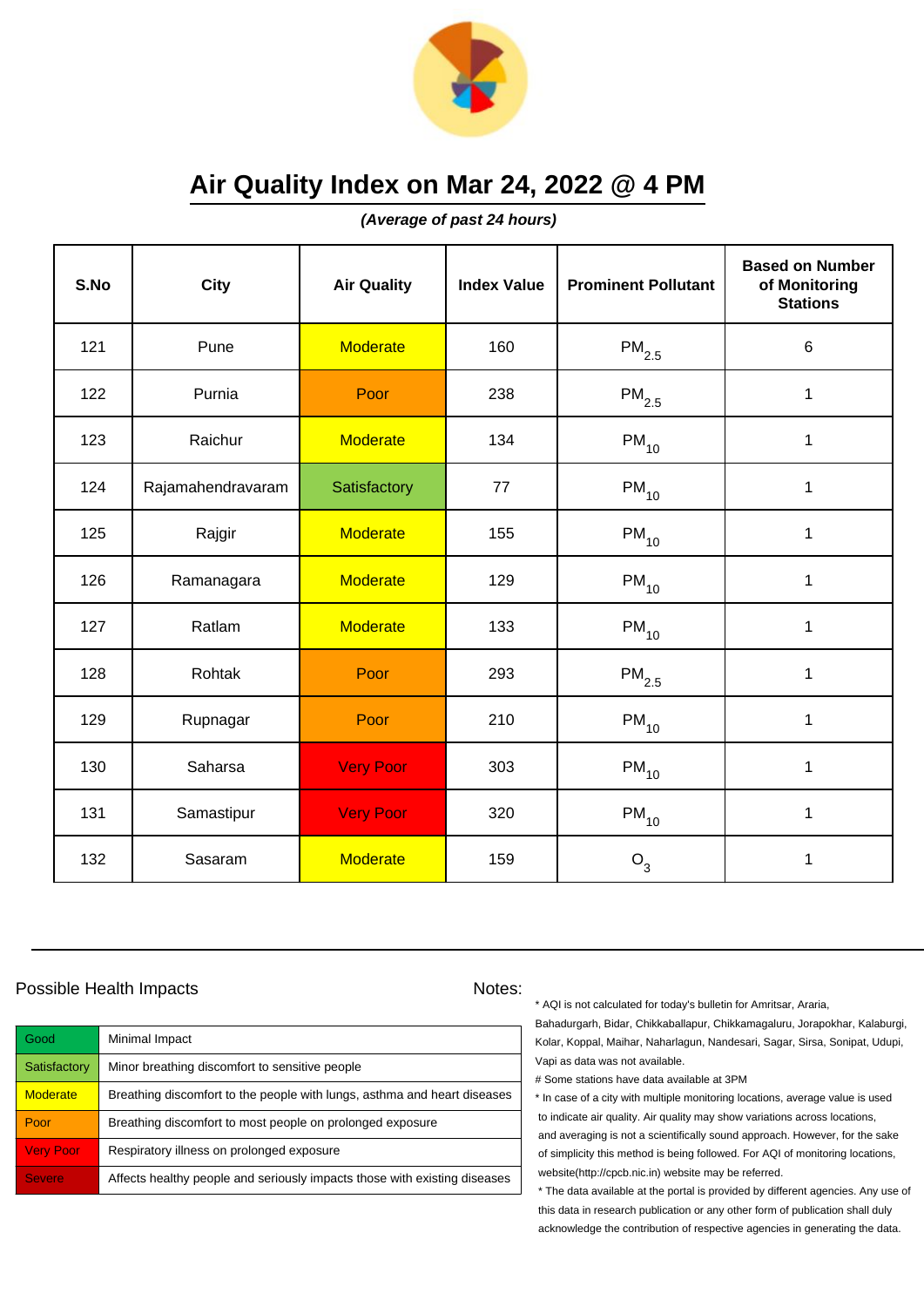

**(Average of past 24 hours)**

| S.No | <b>City</b>       | <b>Air Quality</b> | <b>Index Value</b> | <b>Prominent Pollutant</b> | <b>Based on Number</b><br>of Monitoring<br><b>Stations</b> |
|------|-------------------|--------------------|--------------------|----------------------------|------------------------------------------------------------|
| 121  | Pune              | <b>Moderate</b>    | 160                | $\mathsf{PM}_{2.5}$        | 6                                                          |
| 122  | Purnia            | Poor               | 238                | $\mathsf{PM}_{2.5}$        | $\mathbf 1$                                                |
| 123  | Raichur           | <b>Moderate</b>    | 134                | $\mathsf{PM}_{10}$         | 1                                                          |
| 124  | Rajamahendravaram | Satisfactory       | 77                 | $PM_{10}$                  | $\mathbf 1$                                                |
| 125  | Rajgir            | <b>Moderate</b>    | 155                | $\mathsf{PM}_{10}$         | $\mathbf{1}$                                               |
| 126  | Ramanagara        | <b>Moderate</b>    | 129                | $\mathsf{PM}_{10}$         | 1                                                          |
| 127  | Ratlam            | <b>Moderate</b>    | 133                | $PM_{10}$                  | $\mathbf{1}$                                               |
| 128  | Rohtak            | Poor               | 293                | $PM_{2.5}$                 | $\mathbf{1}$                                               |
| 129  | Rupnagar          | Poor               | 210                | $PM_{10}$                  | $\mathbf 1$                                                |
| 130  | Saharsa           | <b>Very Poor</b>   | 303                | $\mathsf{PM}_{10}$         | 1                                                          |
| 131  | Samastipur        | <b>Very Poor</b>   | 320                | $\mathsf{PM}_{10}$         | 1                                                          |
| 132  | Sasaram           | <b>Moderate</b>    | 159                | $O_3$                      | 1                                                          |

### Possible Health Impacts Notes:

| Good             | Minimal Impact                                                            |
|------------------|---------------------------------------------------------------------------|
| Satisfactory     | Minor breathing discomfort to sensitive people                            |
| <b>Moderate</b>  | Breathing discomfort to the people with lungs, asthma and heart diseases  |
| Poor             | Breathing discomfort to most people on prolonged exposure                 |
| <b>Very Poor</b> | Respiratory illness on prolonged exposure                                 |
| <b>Severe</b>    | Affects healthy people and seriously impacts those with existing diseases |

\* AQI is not calculated for today's bulletin for Amritsar, Araria,

Bahadurgarh, Bidar, Chikkaballapur, Chikkamagaluru, Jorapokhar, Kalaburgi, Kolar, Koppal, Maihar, Naharlagun, Nandesari, Sagar, Sirsa, Sonipat, Udupi, Vapi as data was not available.

# Some stations have data available at 3PM

\* In case of a city with multiple monitoring locations, average value is used to indicate air quality. Air quality may show variations across locations, and averaging is not a scientifically sound approach. However, for the sake of simplicity this method is being followed. For AQI of monitoring locations, website(http://cpcb.nic.in) website may be referred.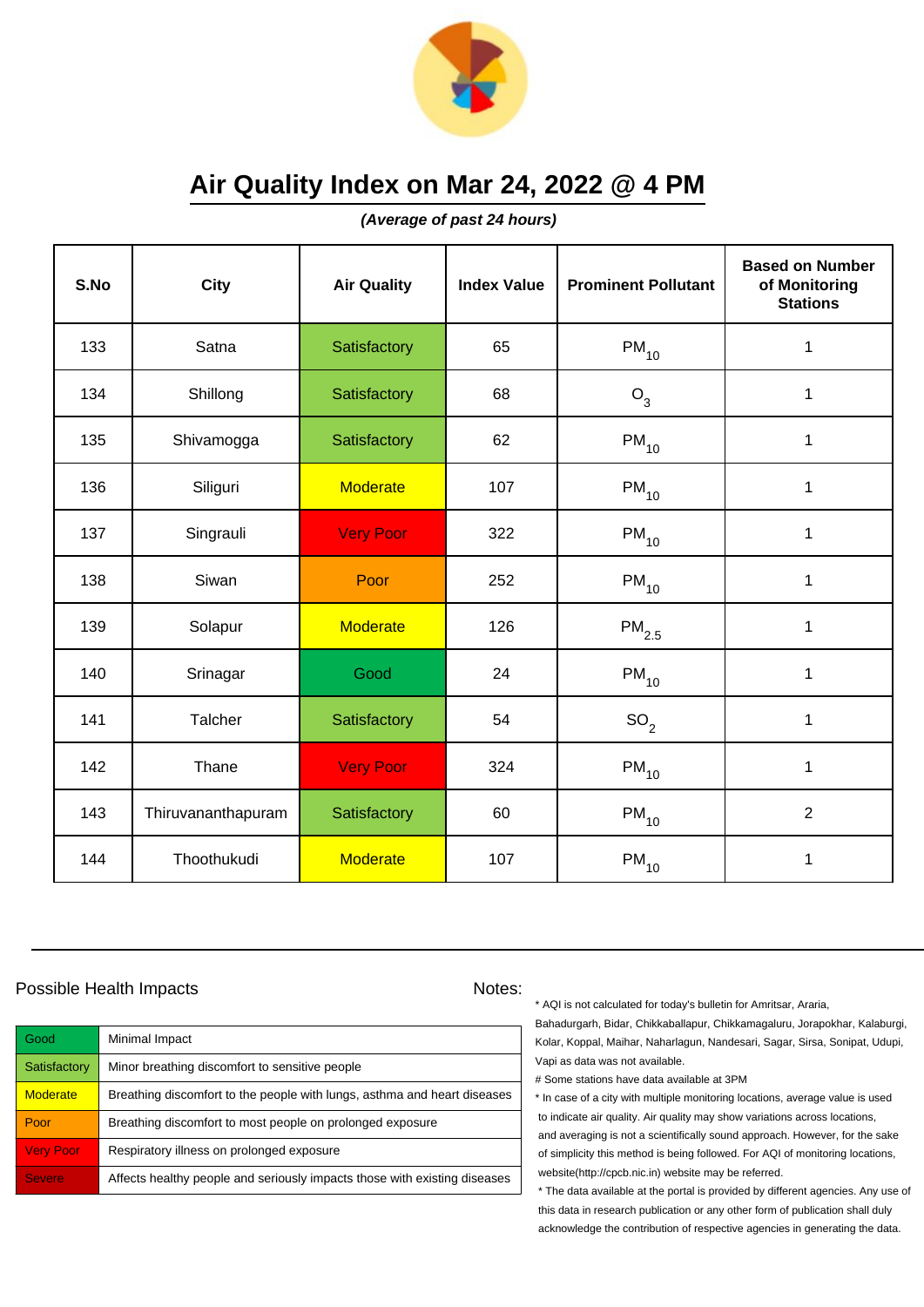

**(Average of past 24 hours)**

| S.No | <b>City</b>        | <b>Air Quality</b> | <b>Index Value</b> | <b>Prominent Pollutant</b> | <b>Based on Number</b><br>of Monitoring<br><b>Stations</b> |
|------|--------------------|--------------------|--------------------|----------------------------|------------------------------------------------------------|
| 133  | Satna              | Satisfactory       | 65                 | $\mathsf{PM}_{10}$         | $\mathbf 1$                                                |
| 134  | Shillong           | Satisfactory       | 68                 | $O_3$                      | $\mathbf 1$                                                |
| 135  | Shivamogga         | Satisfactory       | 62                 | $PM_{10}$                  | 1                                                          |
| 136  | Siliguri           | <b>Moderate</b>    | 107                | $PM_{10}$                  | 1                                                          |
| 137  | Singrauli          | <b>Very Poor</b>   | 322                | $PM_{10}$                  | $\mathbf 1$                                                |
| 138  | Siwan              | Poor               | 252                | $PM_{10}$                  | 1                                                          |
| 139  | Solapur            | <b>Moderate</b>    | 126                | $\mathsf{PM}_{2.5}$        | 1                                                          |
| 140  | Srinagar           | Good               | 24                 | $PM_{10}$                  | 1                                                          |
| 141  | Talcher            | Satisfactory       | 54                 | SO <sub>2</sub>            | $\mathbf 1$                                                |
| 142  | Thane              | <b>Very Poor</b>   | 324                | $PM_{10}$                  | 1                                                          |
| 143  | Thiruvananthapuram | Satisfactory       | 60                 | $PM_{10}$                  | $\overline{2}$                                             |
| 144  | Thoothukudi        | <b>Moderate</b>    | 107                | $\mathsf{PM}_{10}$         | 1                                                          |

### Possible Health Impacts Notes:

| Good             | Minimal Impact                                                            |
|------------------|---------------------------------------------------------------------------|
| Satisfactory     | Minor breathing discomfort to sensitive people                            |
| <b>Moderate</b>  | Breathing discomfort to the people with lungs, asthma and heart diseases  |
| Poor             | Breathing discomfort to most people on prolonged exposure                 |
| <b>Very Poor</b> | Respiratory illness on prolonged exposure                                 |
| <b>Severe</b>    | Affects healthy people and seriously impacts those with existing diseases |

\* AQI is not calculated for today's bulletin for Amritsar, Araria,

Bahadurgarh, Bidar, Chikkaballapur, Chikkamagaluru, Jorapokhar, Kalaburgi, Kolar, Koppal, Maihar, Naharlagun, Nandesari, Sagar, Sirsa, Sonipat, Udupi, Vapi as data was not available.

# Some stations have data available at 3PM

\* In case of a city with multiple monitoring locations, average value is used to indicate air quality. Air quality may show variations across locations, and averaging is not a scientifically sound approach. However, for the sake of simplicity this method is being followed. For AQI of monitoring locations, website(http://cpcb.nic.in) website may be referred.